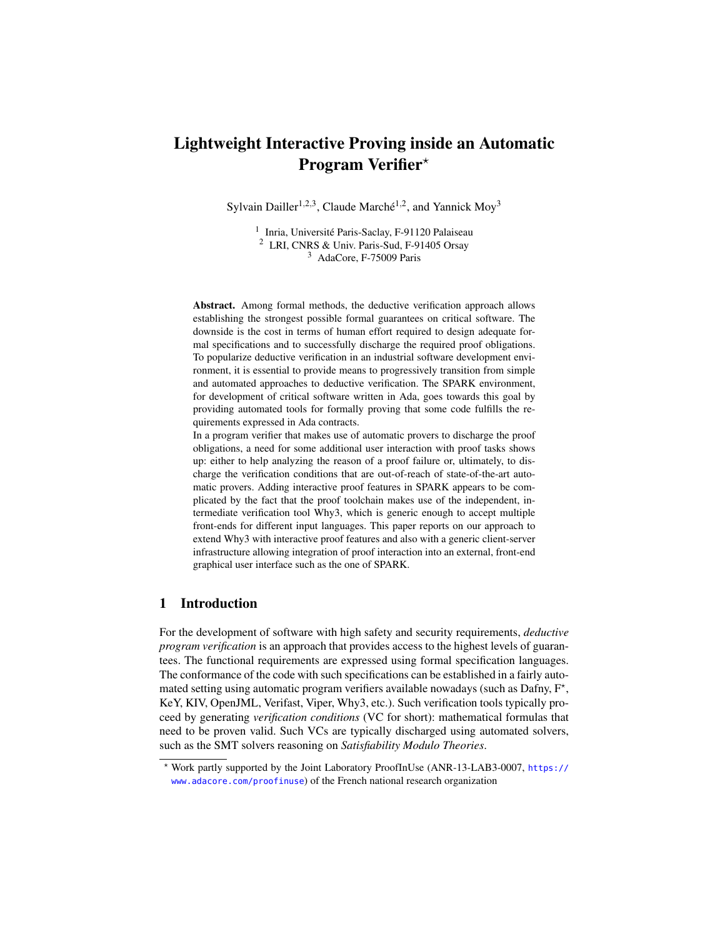# Lightweight Interactive Proving inside an Automatic **Program Verifier** $*$

Sylvain Dailler<sup>1,2,3</sup>, Claude Marché<sup>1,2</sup>, and Yannick Moy<sup>3</sup>

<sup>1</sup> Inria, Université Paris-Saclay, F-91120 Palaiseau <sup>2</sup> LRI, CNRS & Univ. Paris-Sud, F-91405 Orsay <sup>3</sup> AdaCore, F-75009 Paris

Abstract. Among formal methods, the deductive verification approach allows establishing the strongest possible formal guarantees on critical software. The downside is the cost in terms of human effort required to design adequate formal specifications and to successfully discharge the required proof obligations. To popularize deductive verification in an industrial software development environment, it is essential to provide means to progressively transition from simple and automated approaches to deductive verification. The SPARK environment, for development of critical software written in Ada, goes towards this goal by providing automated tools for formally proving that some code fulfills the requirements expressed in Ada contracts.

In a program verifier that makes use of automatic provers to discharge the proof obligations, a need for some additional user interaction with proof tasks shows up: either to help analyzing the reason of a proof failure or, ultimately, to discharge the verification conditions that are out-of-reach of state-of-the-art automatic provers. Adding interactive proof features in SPARK appears to be complicated by the fact that the proof toolchain makes use of the independent, intermediate verification tool Why3, which is generic enough to accept multiple front-ends for different input languages. This paper reports on our approach to extend Why3 with interactive proof features and also with a generic client-server infrastructure allowing integration of proof interaction into an external, front-end graphical user interface such as the one of SPARK.

## 1 Introduction

For the development of software with high safety and security requirements, *deductive program verification* is an approach that provides access to the highest levels of guarantees. The functional requirements are expressed using formal specification languages. The conformance of the code with such specifications can be established in a fairly automated setting using automatic program verifiers available nowadays (such as Dafny,  $F^*$ , KeY, KIV, OpenJML, Verifast, Viper, Why3, etc.). Such verification tools typically proceed by generating *verification conditions* (VC for short): mathematical formulas that need to be proven valid. Such VCs are typically discharged using automated solvers, such as the SMT solvers reasoning on *Satisfiability Modulo Theories*.

<sup>?</sup> Work partly supported by the Joint Laboratory ProofInUse (ANR-13-LAB3-0007, [https://](https://www.adacore.com/proofinuse) [www.adacore.com/proofinuse](https://www.adacore.com/proofinuse)) of the French national research organization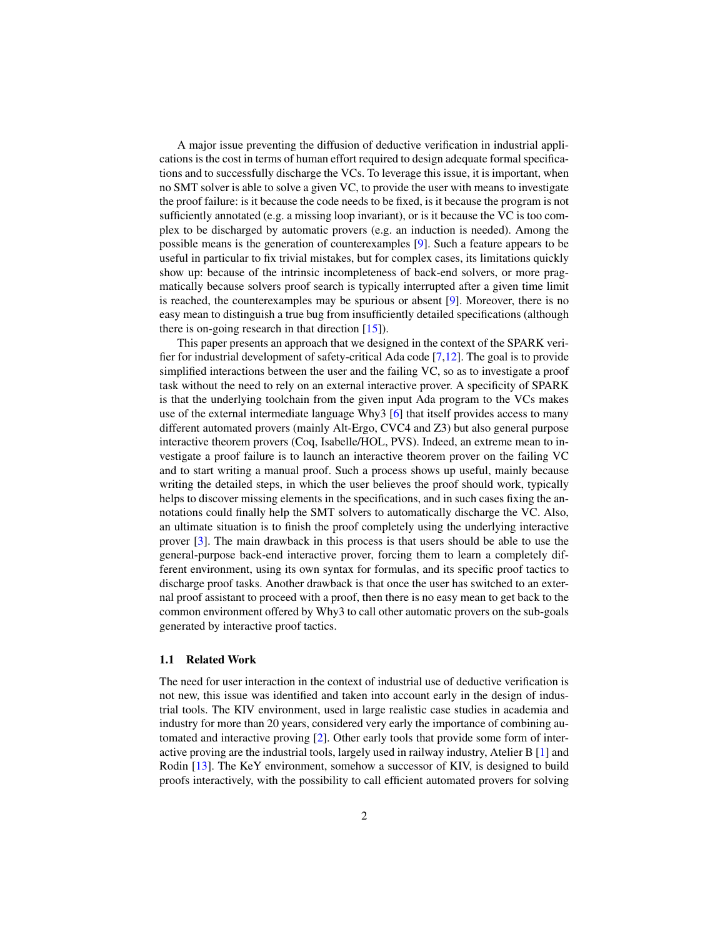A major issue preventing the diffusion of deductive verification in industrial applications is the cost in terms of human effort required to design adequate formal specifications and to successfully discharge the VCs. To leverage this issue, it is important, when no SMT solver is able to solve a given VC, to provide the user with means to investigate the proof failure: is it because the code needs to be fixed, is it because the program is not sufficiently annotated (e.g. a missing loop invariant), or is it because the VC is too complex to be discharged by automatic provers (e.g. an induction is needed). Among the possible means is the generation of counterexamples [\[9\]](#page-15-0). Such a feature appears to be useful in particular to fix trivial mistakes, but for complex cases, its limitations quickly show up: because of the intrinsic incompleteness of back-end solvers, or more pragmatically because solvers proof search is typically interrupted after a given time limit is reached, the counterexamples may be spurious or absent [\[9\]](#page-15-0). Moreover, there is no easy mean to distinguish a true bug from insufficiently detailed specifications (although there is on-going research in that direction [\[15\]](#page-15-1)).

This paper presents an approach that we designed in the context of the SPARK verifier for industrial development of safety-critical Ada code [\[7,](#page-15-2)[12\]](#page-15-3). The goal is to provide simplified interactions between the user and the failing VC, so as to investigate a proof task without the need to rely on an external interactive prover. A specificity of SPARK is that the underlying toolchain from the given input Ada program to the VCs makes use of the external intermediate language Why3 [\[6\]](#page-15-4) that itself provides access to many different automated provers (mainly Alt-Ergo, CVC4 and Z3) but also general purpose interactive theorem provers (Coq, Isabelle/HOL, PVS). Indeed, an extreme mean to investigate a proof failure is to launch an interactive theorem prover on the failing VC and to start writing a manual proof. Such a process shows up useful, mainly because writing the detailed steps, in which the user believes the proof should work, typically helps to discover missing elements in the specifications, and in such cases fixing the annotations could finally help the SMT solvers to automatically discharge the VC. Also, an ultimate situation is to finish the proof completely using the underlying interactive prover [\[3\]](#page-15-5). The main drawback in this process is that users should be able to use the general-purpose back-end interactive prover, forcing them to learn a completely different environment, using its own syntax for formulas, and its specific proof tactics to discharge proof tasks. Another drawback is that once the user has switched to an external proof assistant to proceed with a proof, then there is no easy mean to get back to the common environment offered by Why3 to call other automatic provers on the sub-goals generated by interactive proof tactics.

#### 1.1 Related Work

The need for user interaction in the context of industrial use of deductive verification is not new, this issue was identified and taken into account early in the design of industrial tools. The KIV environment, used in large realistic case studies in academia and industry for more than 20 years, considered very early the importance of combining automated and interactive proving [\[2\]](#page-15-6). Other early tools that provide some form of interactive proving are the industrial tools, largely used in railway industry, Atelier B [\[1\]](#page-15-7) and Rodin [\[13\]](#page-15-8). The KeY environment, somehow a successor of KIV, is designed to build proofs interactively, with the possibility to call efficient automated provers for solving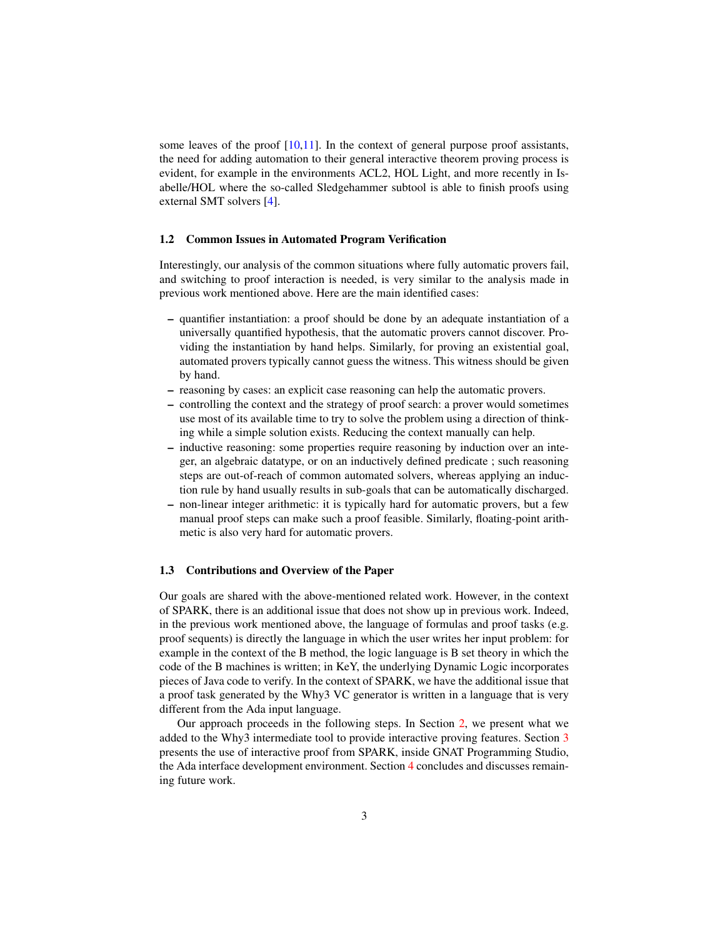some leaves of the proof  $[10,11]$  $[10,11]$ . In the context of general purpose proof assistants, the need for adding automation to their general interactive theorem proving process is evident, for example in the environments ACL2, HOL Light, and more recently in Isabelle/HOL where the so-called Sledgehammer subtool is able to finish proofs using external SMT solvers [\[4\]](#page-15-11).

#### <span id="page-2-0"></span>1.2 Common Issues in Automated Program Verification

Interestingly, our analysis of the common situations where fully automatic provers fail, and switching to proof interaction is needed, is very similar to the analysis made in previous work mentioned above. Here are the main identified cases:

- quantifier instantiation: a proof should be done by an adequate instantiation of a universally quantified hypothesis, that the automatic provers cannot discover. Providing the instantiation by hand helps. Similarly, for proving an existential goal, automated provers typically cannot guess the witness. This witness should be given by hand.
- reasoning by cases: an explicit case reasoning can help the automatic provers.
- controlling the context and the strategy of proof search: a prover would sometimes use most of its available time to try to solve the problem using a direction of thinking while a simple solution exists. Reducing the context manually can help.
- inductive reasoning: some properties require reasoning by induction over an integer, an algebraic datatype, or on an inductively defined predicate ; such reasoning steps are out-of-reach of common automated solvers, whereas applying an induction rule by hand usually results in sub-goals that can be automatically discharged.
- non-linear integer arithmetic: it is typically hard for automatic provers, but a few manual proof steps can make such a proof feasible. Similarly, floating-point arithmetic is also very hard for automatic provers.

#### 1.3 Contributions and Overview of the Paper

Our goals are shared with the above-mentioned related work. However, in the context of SPARK, there is an additional issue that does not show up in previous work. Indeed, in the previous work mentioned above, the language of formulas and proof tasks (e.g. proof sequents) is directly the language in which the user writes her input problem: for example in the context of the B method, the logic language is B set theory in which the code of the B machines is written; in KeY, the underlying Dynamic Logic incorporates pieces of Java code to verify. In the context of SPARK, we have the additional issue that a proof task generated by the Why3 VC generator is written in a language that is very different from the Ada input language.

Our approach proceeds in the following steps. In Section [2,](#page-3-0) we present what we added to the Why3 intermediate tool to provide interactive proving features. Section [3](#page-9-0) presents the use of interactive proof from SPARK, inside GNAT Programming Studio, the Ada interface development environment. Section [4](#page-14-0) concludes and discusses remaining future work.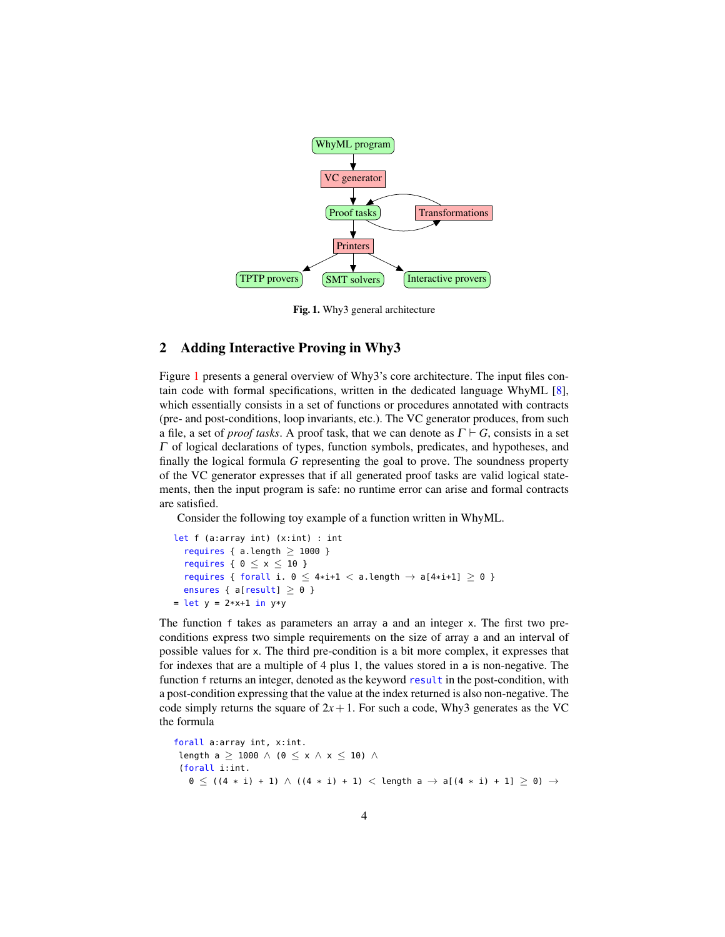

<span id="page-3-1"></span>Fig. 1. Why3 general architecture

## <span id="page-3-0"></span>2 Adding Interactive Proving in Why3

Figure [1](#page-3-1) presents a general overview of Why3's core architecture. The input files contain code with formal specifications, written in the dedicated language WhyML [\[8\]](#page-15-12), which essentially consists in a set of functions or procedures annotated with contracts (pre- and post-conditions, loop invariants, etc.). The VC generator produces, from such a file, a set of *proof tasks*. A proof task, that we can denote as  $\Gamma \vdash G$ , consists in a set  $\Gamma$  of logical declarations of types, function symbols, predicates, and hypotheses, and finally the logical formula *G* representing the goal to prove. The soundness property of the VC generator expresses that if all generated proof tasks are valid logical statements, then the input program is safe: no runtime error can arise and formal contracts are satisfied.

Consider the following toy example of a function written in WhyML.

```
let f (a:array int) (x:int) : int
  requires { a.length \geq 1000 }
  requires { 0 \le x \le 10 }
  requires { forall i. 0 \leq 4 \times i + 1 < a. length \rightarrow a[4 \times i + 1] \geq 0 }
  ensures { a[result] \ge 0 }
= let y = 2 \times x + 1 in y \times y
```
The function f takes as parameters an array a and an integer x. The first two preconditions express two simple requirements on the size of array a and an interval of possible values for x. The third pre-condition is a bit more complex, it expresses that for indexes that are a multiple of 4 plus 1, the values stored in a is non-negative. The function f returns an integer, denoted as the keyword result in the post-condition, with a post-condition expressing that the value at the index returned is also non-negative. The code simply returns the square of  $2x + 1$ . For such a code, Why3 generates as the VC the formula

```
forall a:array int, x:int.
 length a \geq 1000 \wedge (0 \leq x \wedge x \leq 10) \wedge(forall i:int.
   0 ≤ ((4 * i) + 1) ∧ ((4 * i) + 1) < length a \rightarrow a[(4 * i) + 1] ≥ 0) \rightarrow
```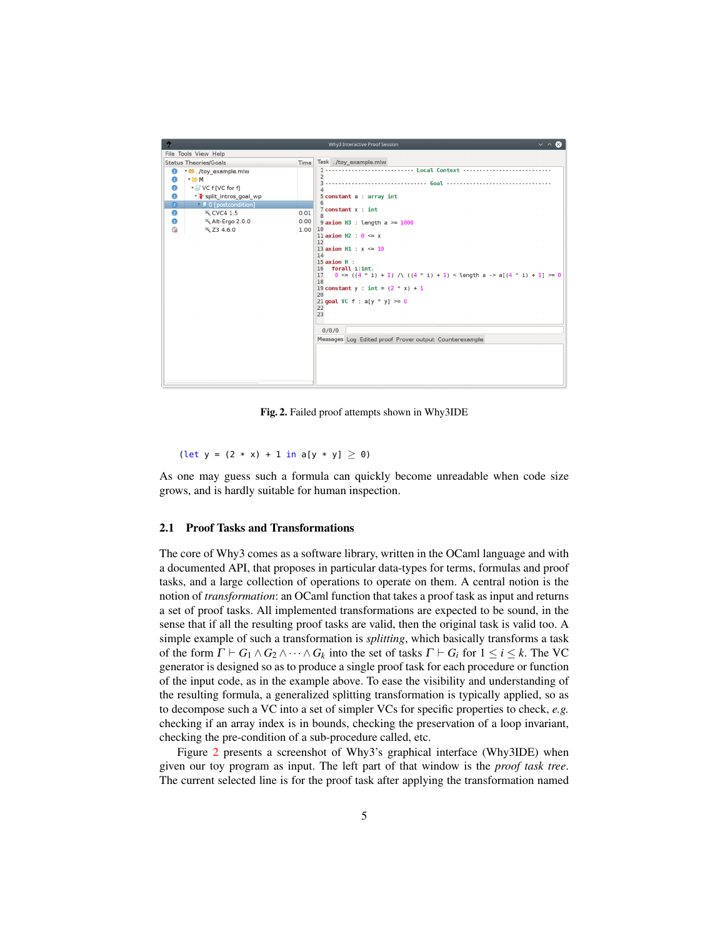

<span id="page-4-0"></span>Fig. 2. Failed proof attempts shown in Why3IDE

(let  $y = (2 * x) + 1$  in a[y \* y]  $\ge 0$ )

As one may guess such a formula can quickly become unreadable when code size grows, and is hardly suitable for human inspection.

#### 2.1 Proof Tasks and Transformations

The core of Why3 comes as a software library, written in the OCaml language and with a documented API, that proposes in particular data-types for terms, formulas and proof tasks, and a large collection of operations to operate on them. A central notion is the notion of *transformation*: an OCaml function that takes a proof task as input and returns a set of proof tasks. All implemented transformations are expected to be sound, in the sense that if all the resulting proof tasks are valid, then the original task is valid too. A simple example of such a transformation is *splitting*, which basically transforms a task of the form  $\Gamma \vdash G_1 \land G_2 \land \cdots \land G_k$  into the set of tasks  $\Gamma \vdash G_i$  for  $1 \leq i \leq k$ . The VC generator is designed so as to produce a single proof task for each procedure or function of the input code, as in the example above. To ease the visibility and understanding of the resulting formula, a generalized splitting transformation is typically applied, so as to decompose such a VC into a set of simpler VCs for specific properties to check, *e.g.* checking if an array index is in bounds, checking the preservation of a loop invariant, checking the pre-condition of a sub-procedure called, etc.

Figure [2](#page-4-0) presents a screenshot of Why3's graphical interface (Why3IDE) when given our toy program as input. The left part of that window is the *proof task tree*. The current selected line is for the proof task after applying the transformation named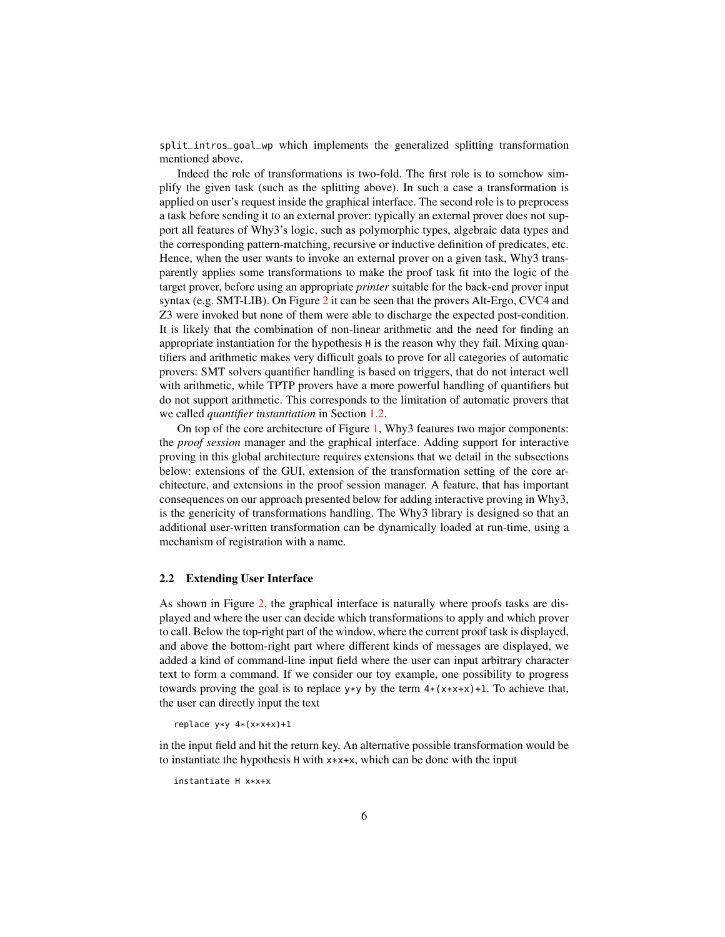split\_intros\_goal\_wp which implements the generalized splitting transformation mentioned above.

Indeed the role of transformations is two-fold. The first role is to somehow simplify the given task (such as the splitting above). In such a case a transformation is applied on user's request inside the graphical interface. The second role is to preprocess a task before sending it to an external prover: typically an external prover does not support all features of Why3's logic, such as polymorphic types, algebraic data types and the corresponding pattern-matching, recursive or inductive definition of predicates, etc. Hence, when the user wants to invoke an external prover on a given task, Why3 transparently applies some transformations to make the proof task fit into the logic of the target prover, before using an appropriate *printer* suitable for the back-end prover input syntax (e.g. SMT-LIB). On Figure [2](#page-4-0) it can be seen that the provers Alt-Ergo, CVC4 and Z3 were invoked but none of them were able to discharge the expected post-condition. It is likely that the combination of non-linear arithmetic and the need for finding an appropriate instantiation for the hypothesis H is the reason why they fail. Mixing quantifiers and arithmetic makes very difficult goals to prove for all categories of automatic provers: SMT solvers quantifier handling is based on triggers, that do not interact well with arithmetic, while TPTP provers have a more powerful handling of quantifiers but do not support arithmetic. This corresponds to the limitation of automatic provers that we called *quantifier instantiation* in Section [1.2.](#page-2-0)

On top of the core architecture of Figure [1,](#page-3-1) Why3 features two major components: the *proof session* manager and the graphical interface. Adding support for interactive proving in this global architecture requires extensions that we detail in the subsections below: extensions of the GUI, extension of the transformation setting of the core architecture, and extensions in the proof session manager. A feature, that has important consequences on our approach presented below for adding interactive proving in Why3, is the genericity of transformations handling. The Why3 library is designed so that an additional user-written transformation can be dynamically loaded at run-time, using a mechanism of registration with a name.

## 2.2 Extending User Interface

As shown in Figure [2,](#page-4-0) the graphical interface is naturally where proofs tasks are displayed and where the user can decide which transformations to apply and which prover to call. Below the top-right part of the window, where the current proof task is displayed, and above the bottom-right part where different kinds of messages are displayed, we added a kind of command-line input field where the user can input arbitrary character text to form a command. If we consider our toy example, one possibility to progress towards proving the goal is to replace  $y \ast y$  by the term  $4*(x \ast x \ast x) + 1$ . To achieve that, the user can directly input the text

```
replace y*y 4*(x*x+x)+1
```
in the input field and hit the return key. An alternative possible transformation would be to instantiate the hypothesis H with x\*x+x, which can be done with the input

instantiate H x\*x+x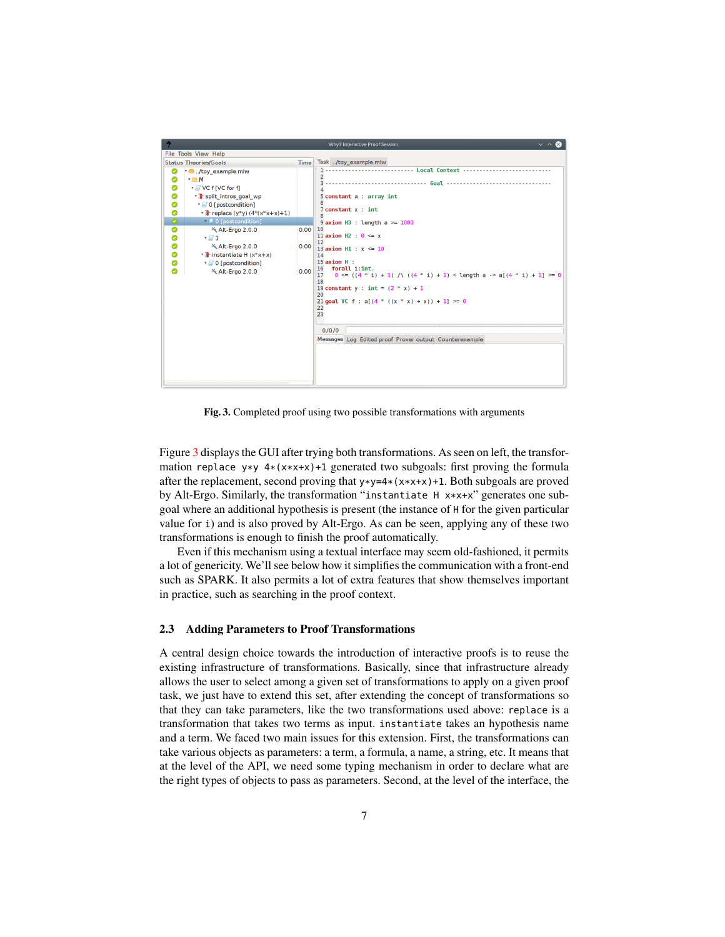

<span id="page-6-0"></span>Fig. 3. Completed proof using two possible transformations with arguments

Figure [3](#page-6-0) displays the GUI after trying both transformations. As seen on left, the transformation replace  $y*y 4*(x*x+x)+1$  generated two subgoals: first proving the formula after the replacement, second proving that  $y*y=4*(x*x+x)+1$ . Both subgoals are proved by Alt-Ergo. Similarly, the transformation "instantiate H x\*x+x" generates one subgoal where an additional hypothesis is present (the instance of H for the given particular value for i) and is also proved by Alt-Ergo. As can be seen, applying any of these two transformations is enough to finish the proof automatically.

Even if this mechanism using a textual interface may seem old-fashioned, it permits a lot of genericity. We'll see below how it simplifies the communication with a front-end such as SPARK. It also permits a lot of extra features that show themselves important in practice, such as searching in the proof context.

#### <span id="page-6-1"></span>2.3 Adding Parameters to Proof Transformations

A central design choice towards the introduction of interactive proofs is to reuse the existing infrastructure of transformations. Basically, since that infrastructure already allows the user to select among a given set of transformations to apply on a given proof task, we just have to extend this set, after extending the concept of transformations so that they can take parameters, like the two transformations used above: replace is a transformation that takes two terms as input. instantiate takes an hypothesis name and a term. We faced two main issues for this extension. First, the transformations can take various objects as parameters: a term, a formula, a name, a string, etc. It means that at the level of the API, we need some typing mechanism in order to declare what are the right types of objects to pass as parameters. Second, at the level of the interface, the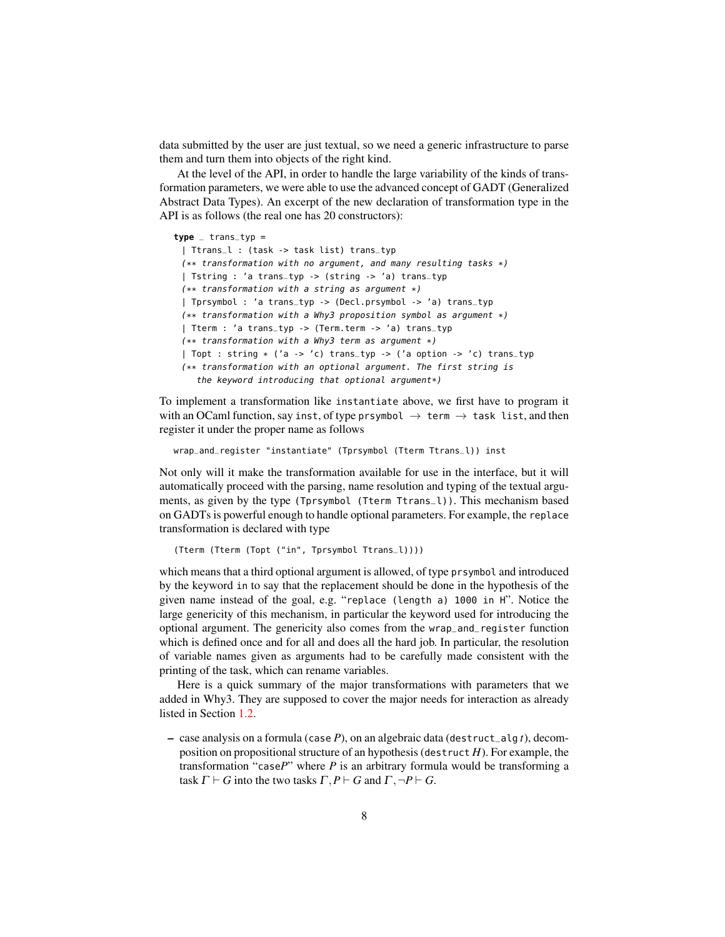data submitted by the user are just textual, so we need a generic infrastructure to parse them and turn them into objects of the right kind.

At the level of the API, in order to handle the large variability of the kinds of transformation parameters, we were able to use the advanced concept of GADT (Generalized Abstract Data Types). An excerpt of the new declaration of transformation type in the API is as follows (the real one has 20 constructors):

#### $type$   $-$  trans $-type$

```
| Ttrans_l : (task -> task list) trans_typ
(** transformation with no argument, and many resulting tasks *)| Tstring : 'a trans_typ -> (string -> 'a) trans_typ
(** transformation with a string as argument *)| Tprsymbol : 'a trans_typ -> (Decl.prsymbol -> 'a) trans_typ
(** transformation with a Why3 proposition symbol as argument *)
| Tterm : 'a trans_typ -> (Term.term -> 'a) trans_typ
(** transformation with a Why3 term as argument *)| Topt : string * ('a -> 'c) trans_typ -> ('a option -> 'c) trans_typ
(** transformation with an optional argument. The first string is
  the keyword introducing that optional argument*)
```
To implement a transformation like instantiate above, we first have to program it with an OCaml function, say inst, of type prsymbol  $\rightarrow$  term  $\rightarrow$  task list, and then register it under the proper name as follows

wrap\_and\_register "instantiate" (Tprsymbol (Tterm Ttrans\_l)) inst

Not only will it make the transformation available for use in the interface, but it will automatically proceed with the parsing, name resolution and typing of the textual arguments, as given by the type (Tprsymbol (Tterm Ttrans\_l)). This mechanism based on GADTs is powerful enough to handle optional parameters. For example, the replace transformation is declared with type

```
(Tterm (Tterm (Topt ("in", Tprsymbol Ttrans_l))))
```
which means that a third optional argument is allowed, of type prsymbol and introduced by the keyword in to say that the replacement should be done in the hypothesis of the given name instead of the goal, e.g. "replace (length a) 1000 in H". Notice the large genericity of this mechanism, in particular the keyword used for introducing the optional argument. The genericity also comes from the wrap\_and\_register function which is defined once and for all and does all the hard job. In particular, the resolution of variable names given as arguments had to be carefully made consistent with the printing of the task, which can rename variables.

Here is a quick summary of the major transformations with parameters that we added in Why3. They are supposed to cover the major needs for interaction as already listed in Section [1.2.](#page-2-0)

– case analysis on a formula (case *P*), on an algebraic data (destruct\_alg *t*), decomposition on propositional structure of an hypothesis (destruct *H*). For example, the transformation "case*P*" where *P* is an arbitrary formula would be transforming a task  $\Gamma \vdash G$  into the two tasks  $\Gamma, P \vdash G$  and  $\Gamma, \neg P \vdash G$ .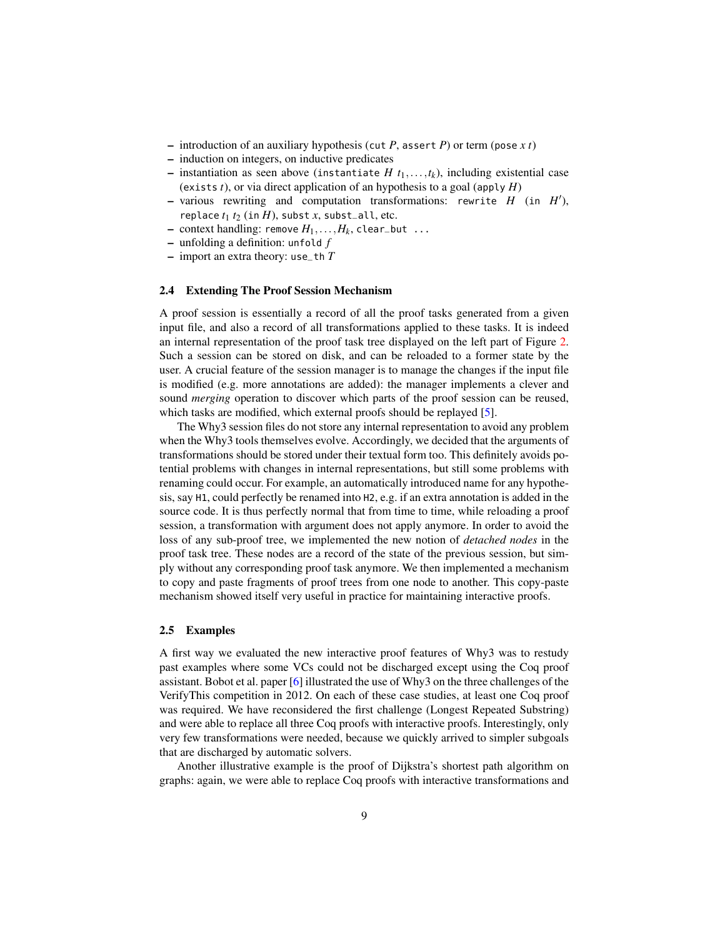- introduction of an auxiliary hypothesis (cut *P*, assert *P*) or term (pose *x t*)
- induction on integers, on inductive predicates
- $-$  instantiation as seen above (instantiate *H*  $t_1, \ldots, t_k$ ), including existential case (exists *t*), or via direct application of an hypothesis to a goal (apply *H*)
- $-$  various rewriting and computation transformations: rewrite  $H$  (in  $H'$ ), replace  $t_1$   $t_2$  (in  $H$ ), subst  $x$ , subst all, etc.
- $-$  context handling: remove  $H_1, \ldots, H_k$ , clear\_but  $\ldots$
- unfolding a definition: unfold *f*
- import an extra theory: use\_th *T*

#### 2.4 Extending The Proof Session Mechanism

A proof session is essentially a record of all the proof tasks generated from a given input file, and also a record of all transformations applied to these tasks. It is indeed an internal representation of the proof task tree displayed on the left part of Figure [2.](#page-4-0) Such a session can be stored on disk, and can be reloaded to a former state by the user. A crucial feature of the session manager is to manage the changes if the input file is modified (e.g. more annotations are added): the manager implements a clever and sound *merging* operation to discover which parts of the proof session can be reused, which tasks are modified, which external proofs should be replayed [\[5\]](#page-15-13).

The Why3 session files do not store any internal representation to avoid any problem when the Why3 tools themselves evolve. Accordingly, we decided that the arguments of transformations should be stored under their textual form too. This definitely avoids potential problems with changes in internal representations, but still some problems with renaming could occur. For example, an automatically introduced name for any hypothesis, say H1, could perfectly be renamed into H2, e.g. if an extra annotation is added in the source code. It is thus perfectly normal that from time to time, while reloading a proof session, a transformation with argument does not apply anymore. In order to avoid the loss of any sub-proof tree, we implemented the new notion of *detached nodes* in the proof task tree. These nodes are a record of the state of the previous session, but simply without any corresponding proof task anymore. We then implemented a mechanism to copy and paste fragments of proof trees from one node to another. This copy-paste mechanism showed itself very useful in practice for maintaining interactive proofs.

### 2.5 Examples

A first way we evaluated the new interactive proof features of Why3 was to restudy past examples where some VCs could not be discharged except using the Coq proof assistant. Bobot et al. paper [\[6\]](#page-15-4) illustrated the use of Why3 on the three challenges of the VerifyThis competition in 2012. On each of these case studies, at least one Coq proof was required. We have reconsidered the first challenge (Longest Repeated Substring) and were able to replace all three Coq proofs with interactive proofs. Interestingly, only very few transformations were needed, because we quickly arrived to simpler subgoals that are discharged by automatic solvers.

Another illustrative example is the proof of Dijkstra's shortest path algorithm on graphs: again, we were able to replace Coq proofs with interactive transformations and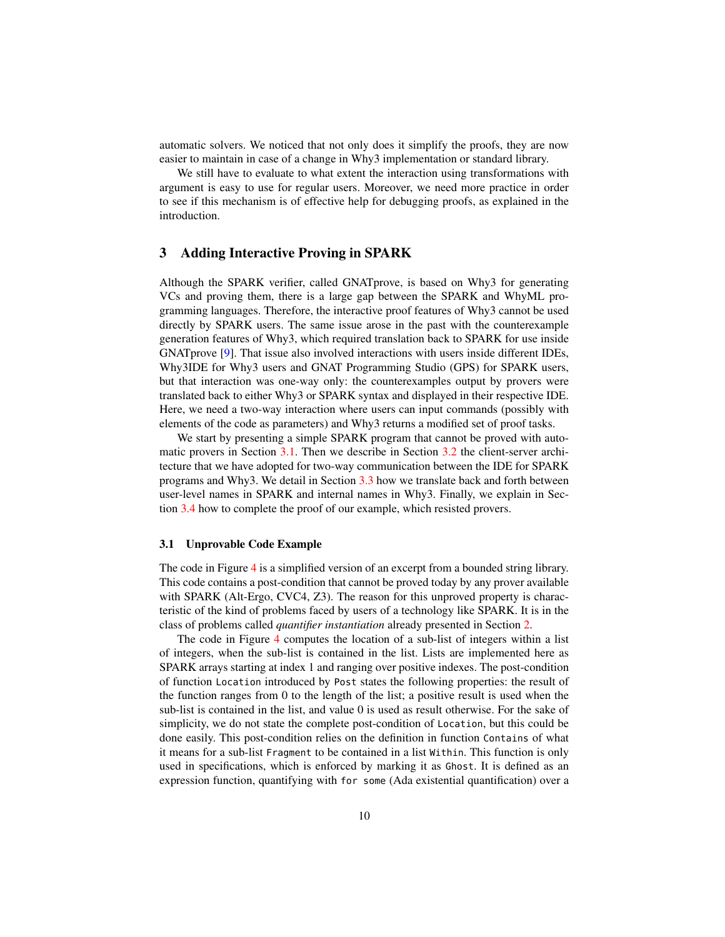automatic solvers. We noticed that not only does it simplify the proofs, they are now easier to maintain in case of a change in Why3 implementation or standard library.

We still have to evaluate to what extent the interaction using transformations with argument is easy to use for regular users. Moreover, we need more practice in order to see if this mechanism is of effective help for debugging proofs, as explained in the introduction.

# <span id="page-9-0"></span>3 Adding Interactive Proving in SPARK

Although the SPARK verifier, called GNATprove, is based on Why3 for generating VCs and proving them, there is a large gap between the SPARK and WhyML programming languages. Therefore, the interactive proof features of Why3 cannot be used directly by SPARK users. The same issue arose in the past with the counterexample generation features of Why3, which required translation back to SPARK for use inside GNATprove [\[9\]](#page-15-0). That issue also involved interactions with users inside different IDEs, Why3IDE for Why3 users and GNAT Programming Studio (GPS) for SPARK users, but that interaction was one-way only: the counterexamples output by provers were translated back to either Why3 or SPARK syntax and displayed in their respective IDE. Here, we need a two-way interaction where users can input commands (possibly with elements of the code as parameters) and Why3 returns a modified set of proof tasks.

We start by presenting a simple SPARK program that cannot be proved with automatic provers in Section [3.1.](#page-9-1) Then we describe in Section [3.2](#page-11-0) the client-server architecture that we have adopted for two-way communication between the IDE for SPARK programs and Why3. We detail in Section [3.3](#page-13-0) how we translate back and forth between user-level names in SPARK and internal names in Why3. Finally, we explain in Section [3.4](#page-13-1) how to complete the proof of our example, which resisted provers.

## <span id="page-9-1"></span>3.1 Unprovable Code Example

The code in Figure [4](#page-10-0) is a simplified version of an excerpt from a bounded string library. This code contains a post-condition that cannot be proved today by any prover available with SPARK (Alt-Ergo, CVC4, Z3). The reason for this unproved property is characteristic of the kind of problems faced by users of a technology like SPARK. It is in the class of problems called *quantifier instantiation* already presented in Section [2.](#page-3-0)

The code in Figure [4](#page-10-0) computes the location of a sub-list of integers within a list of integers, when the sub-list is contained in the list. Lists are implemented here as SPARK arrays starting at index 1 and ranging over positive indexes. The post-condition of function Location introduced by Post states the following properties: the result of the function ranges from 0 to the length of the list; a positive result is used when the sub-list is contained in the list, and value 0 is used as result otherwise. For the sake of simplicity, we do not state the complete post-condition of Location, but this could be done easily. This post-condition relies on the definition in function Contains of what it means for a sub-list Fragment to be contained in a list Within. This function is only used in specifications, which is enforced by marking it as Ghost. It is defined as an expression function, quantifying with for some (Ada existential quantification) over a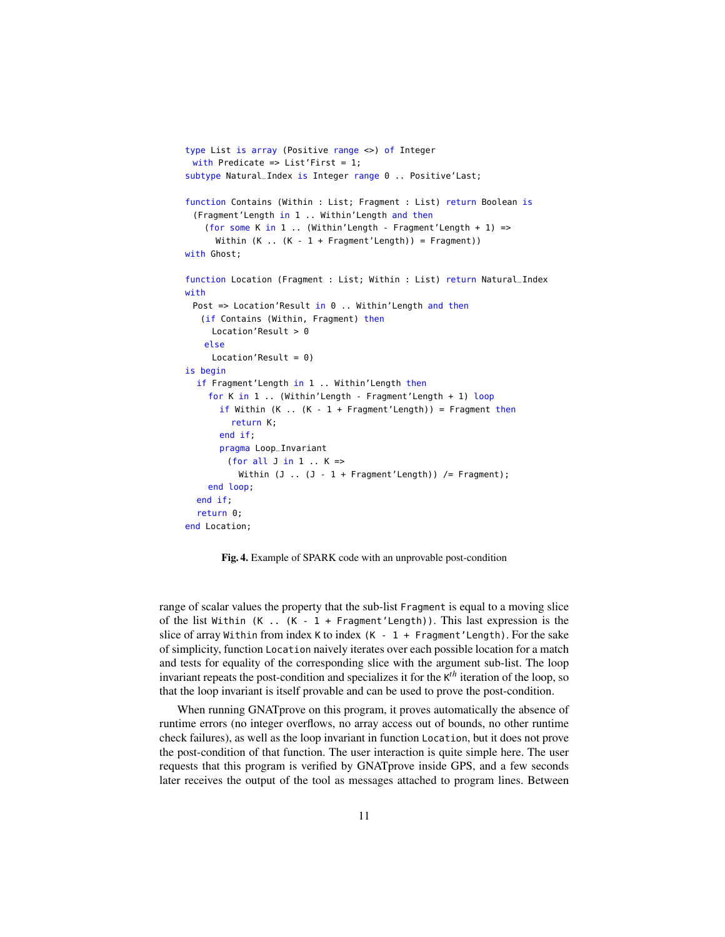```
type List is array (Positive range <>) of Integer
 with Predicate => List'First = 1;
subtype Natural_Index is Integer range 0 .. Positive'Last;
function Contains (Within : List; Fragment : List) return Boolean is
 (Fragment'Length in 1 .. Within'Length and then
    (for some K in 1 .. (Within'Length - Fragment'Length + 1) =>
      Within (K \dots (K - 1 + Fragment'Length)) = Fragment)with Ghost;
function Location (Fragment : List; Within : List) return Natural_Index
with
 Post => Location'Result in 0 .. Within'Length and then
   (if Contains (Within, Fragment) then
     Location'Result > 0
   else
     Location'Result = 0)
is begin
  if Fragment'Length in 1 .. Within'Length then
    for K in 1 .. (Within'Length - Fragment'Length + 1) loop
       if Within (K \dots (K - 1 + Fragment'Length)) = Fragment thenreturn K;
      end if;
      pragma Loop_Invariant
        (for all J in 1 .. K \RightarrowWithin (J \dots (J - 1 + Fragment'Length)) /= Fragment);
    end loop;
  end if;
  return 0;
end Location;
```
<span id="page-10-0"></span>Fig. 4. Example of SPARK code with an unprovable post-condition

range of scalar values the property that the sub-list Fragment is equal to a moving slice of the list Within  $(K - 1 + F^{2} - F^{2})$ . This last expression is the slice of array Within from index K to index  $(K - 1 +$  Fragment'Length). For the sake of simplicity, function Location naively iterates over each possible location for a match and tests for equality of the corresponding slice with the argument sub-list. The loop invariant repeats the post-condition and specializes it for the K *th* iteration of the loop, so that the loop invariant is itself provable and can be used to prove the post-condition.

When running GNATprove on this program, it proves automatically the absence of runtime errors (no integer overflows, no array access out of bounds, no other runtime check failures), as well as the loop invariant in function Location, but it does not prove the post-condition of that function. The user interaction is quite simple here. The user requests that this program is verified by GNATprove inside GPS, and a few seconds later receives the output of the tool as messages attached to program lines. Between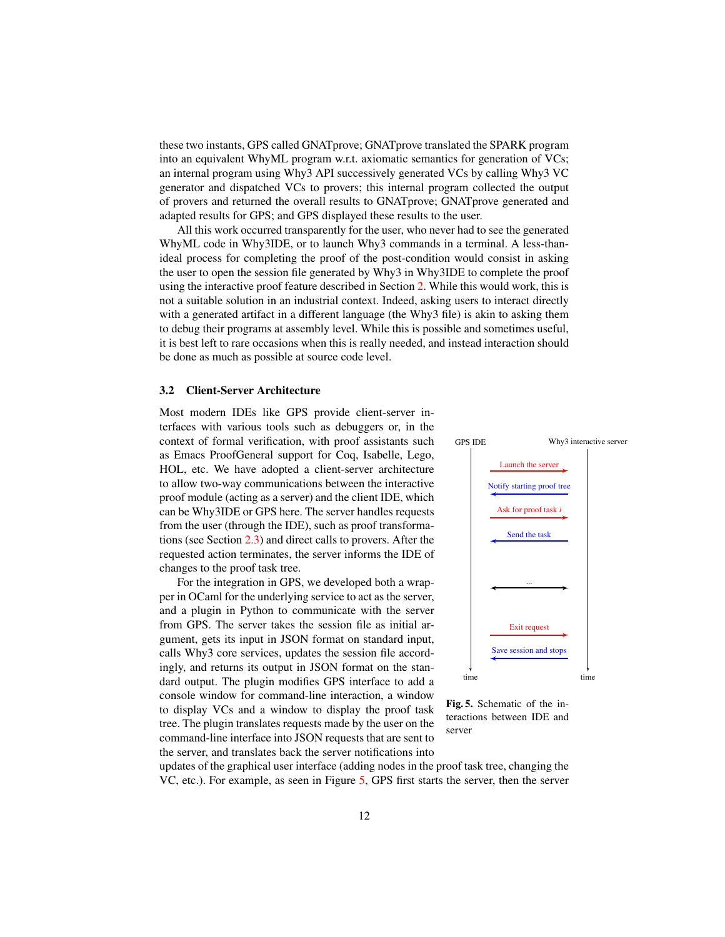these two instants, GPS called GNATprove; GNATprove translated the SPARK program into an equivalent WhyML program w.r.t. axiomatic semantics for generation of VCs; an internal program using Why3 API successively generated VCs by calling Why3 VC generator and dispatched VCs to provers; this internal program collected the output of provers and returned the overall results to GNATprove; GNATprove generated and adapted results for GPS; and GPS displayed these results to the user.

All this work occurred transparently for the user, who never had to see the generated WhyML code in Why3IDE, or to launch Why3 commands in a terminal. A less-thanideal process for completing the proof of the post-condition would consist in asking the user to open the session file generated by Why3 in Why3IDE to complete the proof using the interactive proof feature described in Section [2.](#page-3-0) While this would work, this is not a suitable solution in an industrial context. Indeed, asking users to interact directly with a generated artifact in a different language (the Why3 file) is akin to asking them to debug their programs at assembly level. While this is possible and sometimes useful, it is best left to rare occasions when this is really needed, and instead interaction should be done as much as possible at source code level.

#### <span id="page-11-0"></span>3.2 Client-Server Architecture

Most modern IDEs like GPS provide client-server interfaces with various tools such as debuggers or, in the context of formal verification, with proof assistants such as Emacs ProofGeneral support for Coq, Isabelle, Lego, HOL, etc. We have adopted a client-server architecture to allow two-way communications between the interactive proof module (acting as a server) and the client IDE, which can be Why3IDE or GPS here. The server handles requests from the user (through the IDE), such as proof transformations (see Section [2.3\)](#page-6-1) and direct calls to provers. After the requested action terminates, the server informs the IDE of changes to the proof task tree.

For the integration in GPS, we developed both a wrapper in OCaml for the underlying service to act as the server, and a plugin in Python to communicate with the server from GPS. The server takes the session file as initial argument, gets its input in JSON format on standard input, calls Why3 core services, updates the session file accordingly, and returns its output in JSON format on the standard output. The plugin modifies GPS interface to add a console window for command-line interaction, a window to display VCs and a window to display the proof task tree. The plugin translates requests made by the user on the command-line interface into JSON requests that are sent to the server, and translates back the server notifications into



<span id="page-11-1"></span>Fig. 5. Schematic of the interactions between IDE and server

updates of the graphical user interface (adding nodes in the proof task tree, changing the VC, etc.). For example, as seen in Figure [5,](#page-11-1) GPS first starts the server, then the server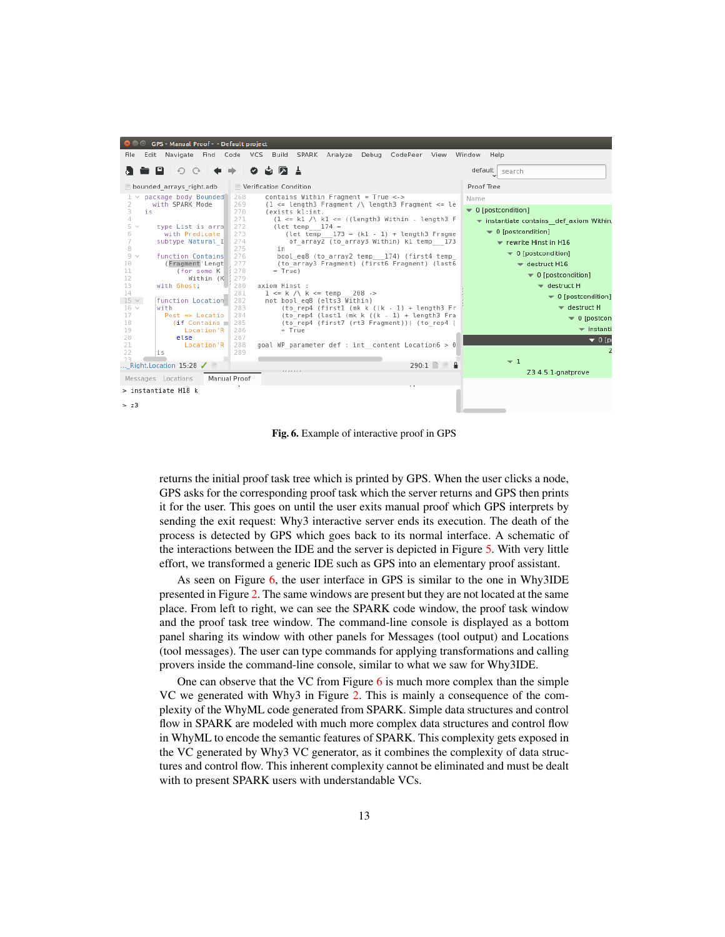| GPS - Manual Proof - - Default project                                                                                                                                                                                                                                                                                                                                                                                                                                                  |                                                                                                                                                                                                                                                                                                                                                                                                                                                                                                                                                                                                                                                                                                                                                                                                                                                                              |                                                                                                                                                                                                                                                                                                                                                                                                                                                                    |
|-----------------------------------------------------------------------------------------------------------------------------------------------------------------------------------------------------------------------------------------------------------------------------------------------------------------------------------------------------------------------------------------------------------------------------------------------------------------------------------------|------------------------------------------------------------------------------------------------------------------------------------------------------------------------------------------------------------------------------------------------------------------------------------------------------------------------------------------------------------------------------------------------------------------------------------------------------------------------------------------------------------------------------------------------------------------------------------------------------------------------------------------------------------------------------------------------------------------------------------------------------------------------------------------------------------------------------------------------------------------------------|--------------------------------------------------------------------------------------------------------------------------------------------------------------------------------------------------------------------------------------------------------------------------------------------------------------------------------------------------------------------------------------------------------------------------------------------------------------------|
| File                                                                                                                                                                                                                                                                                                                                                                                                                                                                                    | CodePeer View<br>Edit Navigate Find Code VCS Build SPARK Analyze<br>Debug                                                                                                                                                                                                                                                                                                                                                                                                                                                                                                                                                                                                                                                                                                                                                                                                    | Window Help                                                                                                                                                                                                                                                                                                                                                                                                                                                        |
| o<br>↶                                                                                                                                                                                                                                                                                                                                                                                                                                                                                  | ⊥ גם<br>o                                                                                                                                                                                                                                                                                                                                                                                                                                                                                                                                                                                                                                                                                                                                                                                                                                                                    | default<br>search                                                                                                                                                                                                                                                                                                                                                                                                                                                  |
| bounded arrays right.adb                                                                                                                                                                                                                                                                                                                                                                                                                                                                | Verification Condition                                                                                                                                                                                                                                                                                                                                                                                                                                                                                                                                                                                                                                                                                                                                                                                                                                                       | Proof Tree                                                                                                                                                                                                                                                                                                                                                                                                                                                         |
| package body Bounded<br>with SPARK Mode<br>3<br>is<br>4<br>$5 \vee$<br>type List is arra<br>with Predicate<br>6<br>7<br>subtype Natural I<br>8<br>$9 \vee$<br>function Contains<br>(Fragment'Lengt<br>10<br>11<br>(for some K<br>12<br>Within $(K1 279)$<br>13<br>with Ghost:<br>14<br>$15 \times$<br>function Location<br>$16 \times$<br>with<br>17<br>$Post \Rightarrow Location$<br>18<br>$(if$ Contains 285<br>19<br>Location'R<br>20<br>else<br>21<br>Location'R<br>22<br>is<br>つミ | contains Within Fragment = True <-><br>268<br>269<br>$(1 \leq$ length3 Fragment /\ length3 Fragment $\leq$ le<br>270<br>(exists kl:int.<br>271<br>$(1 \le k1 / \$ k1 $\le (length3 Within - length3 F)$<br>272<br>(let temp $174 =$<br>273<br>$let temp$ 173 = $(k1 - 1) + length3$ Fragme<br>274<br>of array2 (to array3 Within) k1 temp 173<br>275<br>in<br>276<br>bool eq8 (to array2 temp 174) (first4 temp<br>277<br>(to array3 Fragment) (first6 Fragment) (last6<br>278<br>$= True)$<br>280<br>axiom Hinst :<br>281<br>$1 \le k / \$ k $\le$ temp 208 -><br>282<br>not bool eq8 (elts3 Within)<br>283<br>(to rep4 (first1 (mk k $((k - 1) + \text{length3 Fr})$<br>284<br>$(to rep4 (last1 (mk k ((k - 1) + length3 Fra$<br>(to rep4 (first7 (rt3 Fragment))) (to rep4 (<br>286<br>$=$ True<br>287<br>288<br>goal WP parameter def : int content Location6 > 0<br>289 | Name<br>▼ 0 [postcondition]<br>instantiate contains def axiom Within,<br>$\bullet$ 0 [postcondition]<br>$\blacktriangleright$ rewrite Hinst in H16<br>$\bullet$ 0 [postcondition]<br>$\blacktriangledown$ destruct H16<br>$\blacktriangleright$ 0 [postcondition]<br>$\blacktriangledown$ destruct H<br>▼ 0 [postcondition]<br>$\blacktriangledown$ destruct H<br>$\blacktriangledown$ 0 [postcon-<br>$\overline{\phantom{a}}$ instanti-<br>$\bullet$ 0 [p<br>$-1$ |
| Right. Location $15:28$ $\checkmark$                                                                                                                                                                                                                                                                                                                                                                                                                                                    | $290:1$ $\uparrow$ $\uparrow$                                                                                                                                                                                                                                                                                                                                                                                                                                                                                                                                                                                                                                                                                                                                                                                                                                                | Z3 4.5.1-gnatprove                                                                                                                                                                                                                                                                                                                                                                                                                                                 |
| Messages Locations                                                                                                                                                                                                                                                                                                                                                                                                                                                                      | Manual Proof<br>$\sim$                                                                                                                                                                                                                                                                                                                                                                                                                                                                                                                                                                                                                                                                                                                                                                                                                                                       |                                                                                                                                                                                                                                                                                                                                                                                                                                                                    |
| > instantiate H18 k<br>> z3                                                                                                                                                                                                                                                                                                                                                                                                                                                             |                                                                                                                                                                                                                                                                                                                                                                                                                                                                                                                                                                                                                                                                                                                                                                                                                                                                              |                                                                                                                                                                                                                                                                                                                                                                                                                                                                    |

<span id="page-12-0"></span>Fig. 6. Example of interactive proof in GPS

returns the initial proof task tree which is printed by GPS. When the user clicks a node, GPS asks for the corresponding proof task which the server returns and GPS then prints it for the user. This goes on until the user exits manual proof which GPS interprets by sending the exit request: Why3 interactive server ends its execution. The death of the process is detected by GPS which goes back to its normal interface. A schematic of the interactions between the IDE and the server is depicted in Figure [5.](#page-11-1) With very little effort, we transformed a generic IDE such as GPS into an elementary proof assistant.

As seen on Figure [6,](#page-12-0) the user interface in GPS is similar to the one in Why3IDE presented in Figure [2.](#page-4-0) The same windows are present but they are not located at the same place. From left to right, we can see the SPARK code window, the proof task window and the proof task tree window. The command-line console is displayed as a bottom panel sharing its window with other panels for Messages (tool output) and Locations (tool messages). The user can type commands for applying transformations and calling provers inside the command-line console, similar to what we saw for Why3IDE.

One can observe that the VC from Figure  $6$  is much more complex than the simple VC we generated with Why3 in Figure [2.](#page-4-0) This is mainly a consequence of the complexity of the WhyML code generated from SPARK. Simple data structures and control flow in SPARK are modeled with much more complex data structures and control flow in WhyML to encode the semantic features of SPARK. This complexity gets exposed in the VC generated by Why3 VC generator, as it combines the complexity of data structures and control flow. This inherent complexity cannot be eliminated and must be dealt with to present SPARK users with understandable VCs.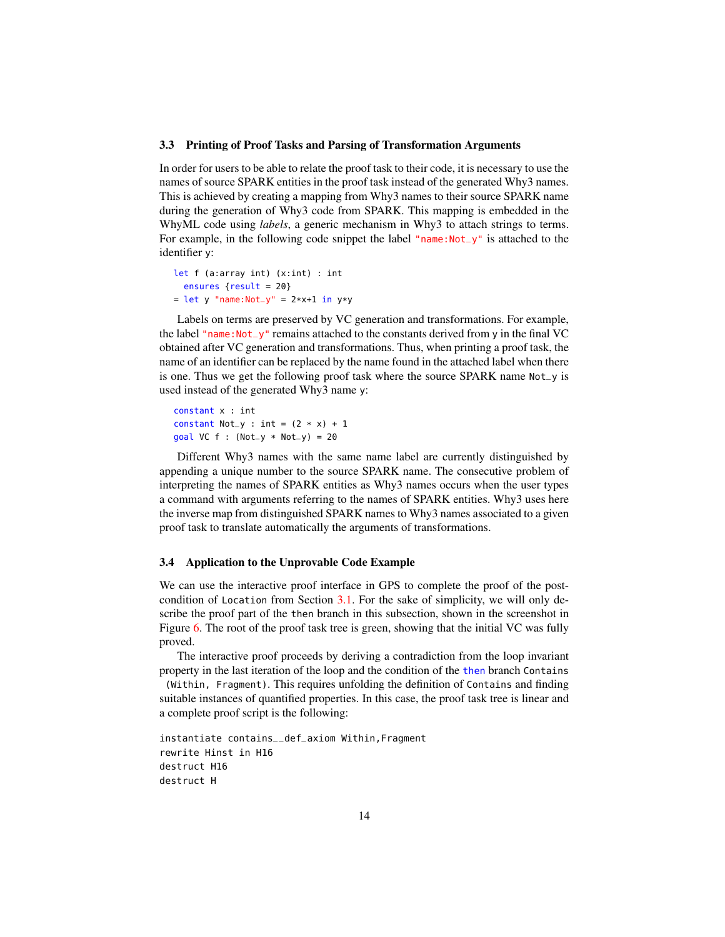#### <span id="page-13-0"></span>3.3 Printing of Proof Tasks and Parsing of Transformation Arguments

In order for users to be able to relate the proof task to their code, it is necessary to use the names of source SPARK entities in the proof task instead of the generated Why3 names. This is achieved by creating a mapping from Why3 names to their source SPARK name during the generation of Why3 code from SPARK. This mapping is embedded in the WhyML code using *labels*, a generic mechanism in Why3 to attach strings to terms. For example, in the following code snippet the label "name:Not\_y" is attached to the identifier y:

```
let f (a:array int) (x:int) : int
 ensures {result = 20}
= let y "name:Not_y" = 2*x+1 in y*y
```
Labels on terms are preserved by VC generation and transformations. For example, the label "name: Not\_y" remains attached to the constants derived from  $\gamma$  in the final VC obtained after VC generation and transformations. Thus, when printing a proof task, the name of an identifier can be replaced by the name found in the attached label when there is one. Thus we get the following proof task where the source SPARK name Not\_y is used instead of the generated Why3 name y:

constant x : int constant Not\_y : int =  $(2 * x) + 1$ goal VC  $f : (Not_y * Not_y) = 20$ 

Different Why3 names with the same name label are currently distinguished by appending a unique number to the source SPARK name. The consecutive problem of interpreting the names of SPARK entities as Why3 names occurs when the user types a command with arguments referring to the names of SPARK entities. Why3 uses here the inverse map from distinguished SPARK names to Why3 names associated to a given proof task to translate automatically the arguments of transformations.

## <span id="page-13-1"></span>3.4 Application to the Unprovable Code Example

We can use the interactive proof interface in GPS to complete the proof of the postcondition of Location from Section [3.1.](#page-9-1) For the sake of simplicity, we will only describe the proof part of the then branch in this subsection, shown in the screenshot in Figure [6.](#page-12-0) The root of the proof task tree is green, showing that the initial VC was fully proved.

The interactive proof proceeds by deriving a contradiction from the loop invariant property in the last iteration of the loop and the condition of the then branch Contains (Within, Fragment). This requires unfolding the definition of Contains and finding

suitable instances of quantified properties. In this case, the proof task tree is linear and a complete proof script is the following:

```
instantiate contains__def_axiom Within,Fragment
rewrite Hinst in H16
destruct H16
destruct H
```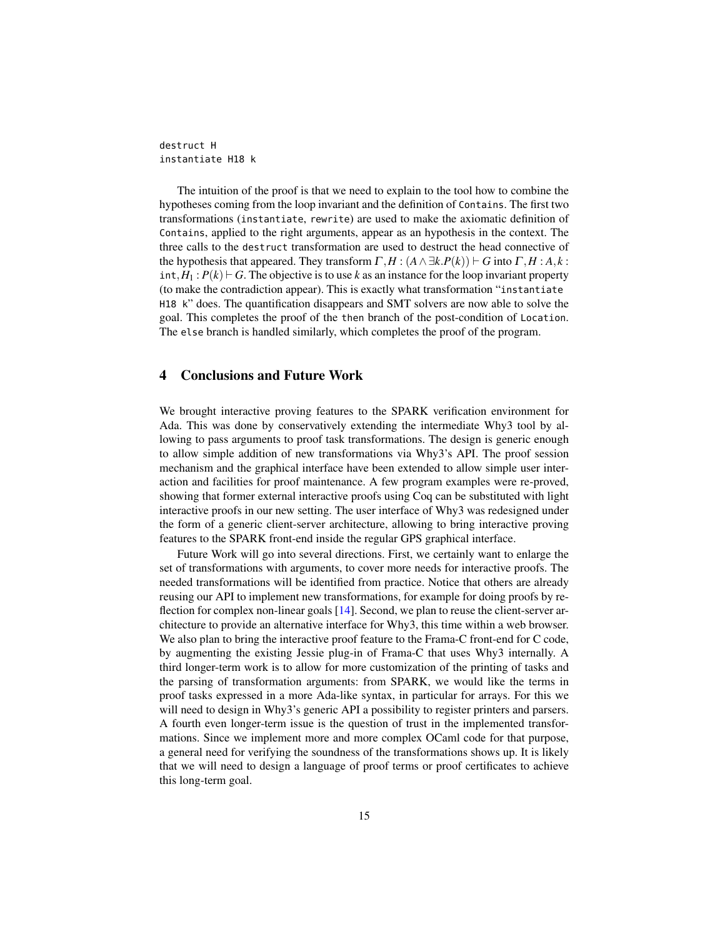destruct H instantiate H18 k

The intuition of the proof is that we need to explain to the tool how to combine the hypotheses coming from the loop invariant and the definition of Contains. The first two transformations (instantiate, rewrite) are used to make the axiomatic definition of Contains, applied to the right arguments, appear as an hypothesis in the context. The three calls to the destruct transformation are used to destruct the head connective of the hypothesis that appeared. They transform  $\Gamma, H : (A \wedge \exists k.P(k)) \vdash G$  into  $\Gamma, H : A, k$ : int,  $H_1$ :  $P(k) \vdash G$ . The objective is to use k as an instance for the loop invariant property (to make the contradiction appear). This is exactly what transformation "instantiate H18 k" does. The quantification disappears and SMT solvers are now able to solve the goal. This completes the proof of the then branch of the post-condition of Location. The else branch is handled similarly, which completes the proof of the program.

## <span id="page-14-0"></span>4 Conclusions and Future Work

We brought interactive proving features to the SPARK verification environment for Ada. This was done by conservatively extending the intermediate Why3 tool by allowing to pass arguments to proof task transformations. The design is generic enough to allow simple addition of new transformations via Why3's API. The proof session mechanism and the graphical interface have been extended to allow simple user interaction and facilities for proof maintenance. A few program examples were re-proved, showing that former external interactive proofs using Coq can be substituted with light interactive proofs in our new setting. The user interface of Why3 was redesigned under the form of a generic client-server architecture, allowing to bring interactive proving features to the SPARK front-end inside the regular GPS graphical interface.

Future Work will go into several directions. First, we certainly want to enlarge the set of transformations with arguments, to cover more needs for interactive proofs. The needed transformations will be identified from practice. Notice that others are already reusing our API to implement new transformations, for example for doing proofs by reflection for complex non-linear goals [\[14\]](#page-15-14). Second, we plan to reuse the client-server architecture to provide an alternative interface for Why3, this time within a web browser. We also plan to bring the interactive proof feature to the Frama-C front-end for C code, by augmenting the existing Jessie plug-in of Frama-C that uses Why3 internally. A third longer-term work is to allow for more customization of the printing of tasks and the parsing of transformation arguments: from SPARK, we would like the terms in proof tasks expressed in a more Ada-like syntax, in particular for arrays. For this we will need to design in Why3's generic API a possibility to register printers and parsers. A fourth even longer-term issue is the question of trust in the implemented transformations. Since we implement more and more complex OCaml code for that purpose, a general need for verifying the soundness of the transformations shows up. It is likely that we will need to design a language of proof terms or proof certificates to achieve this long-term goal.